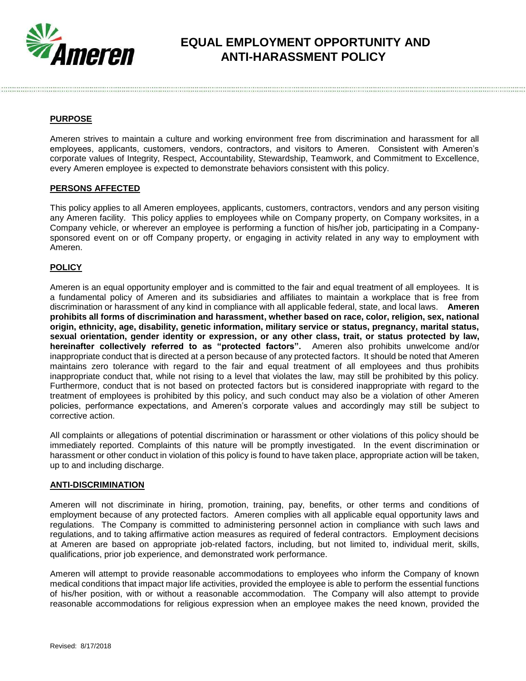

# **EQUAL EMPLOYMENT OPPORTUNITY AND ANTI-HARASSMENT POLICY**

## **PURPOSE**

Ameren strives to maintain a culture and working environment free from discrimination and harassment for all employees, applicants, customers, vendors, contractors, and visitors to Ameren. Consistent with Ameren's corporate values of Integrity, Respect, Accountability, Stewardship, Teamwork, and Commitment to Excellence, every Ameren employee is expected to demonstrate behaviors consistent with this policy.

## **PERSONS AFFECTED**

This policy applies to all Ameren employees, applicants, customers, contractors, vendors and any person visiting any Ameren facility. This policy applies to employees while on Company property, on Company worksites, in a Company vehicle, or wherever an employee is performing a function of his/her job, participating in a Companysponsored event on or off Company property, or engaging in activity related in any way to employment with Ameren.

## **POLICY**

Ameren is an equal opportunity employer and is committed to the fair and equal treatment of all employees. It is a fundamental policy of Ameren and its subsidiaries and affiliates to maintain a workplace that is free from discrimination or harassment of any kind in compliance with all applicable federal, state, and local laws. **Ameren prohibits all forms of discrimination and harassment, whether based on race, color, religion, sex, national origin, ethnicity, age, disability, genetic information, military service or status, pregnancy, marital status, sexual orientation, gender identity or expression, or any other class, trait, or status protected by law, hereinafter collectively referred to as "protected factors".** Ameren also prohibits unwelcome and/or inappropriate conduct that is directed at a person because of any protected factors. It should be noted that Ameren maintains zero tolerance with regard to the fair and equal treatment of all employees and thus prohibits inappropriate conduct that, while not rising to a level that violates the law, may still be prohibited by this policy. Furthermore, conduct that is not based on protected factors but is considered inappropriate with regard to the treatment of employees is prohibited by this policy, and such conduct may also be a violation of other Ameren policies, performance expectations, and Ameren's corporate values and accordingly may still be subject to corrective action.

All complaints or allegations of potential discrimination or harassment or other violations of this policy should be immediately reported. Complaints of this nature will be promptly investigated. In the event discrimination or harassment or other conduct in violation of this policy is found to have taken place, appropriate action will be taken, up to and including discharge.

## **ANTI-DISCRIMINATION**

Ameren will not discriminate in hiring, promotion, training, pay, benefits, or other terms and conditions of employment because of any protected factors. Ameren complies with all applicable equal opportunity laws and regulations. The Company is committed to administering personnel action in compliance with such laws and regulations, and to taking affirmative action measures as required of federal contractors. Employment decisions at Ameren are based on appropriate job-related factors, including, but not limited to, individual merit, skills, qualifications, prior job experience, and demonstrated work performance.

Ameren will attempt to provide reasonable accommodations to employees who inform the Company of known medical conditions that impact major life activities, provided the employee is able to perform the essential functions of his/her position, with or without a reasonable accommodation. The Company will also attempt to provide reasonable accommodations for religious expression when an employee makes the need known, provided the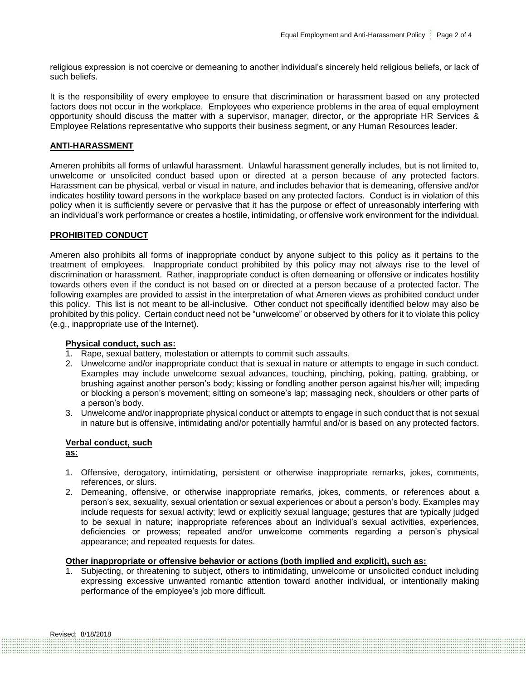religious expression is not coercive or demeaning to another individual's sincerely held religious beliefs, or lack of such beliefs.

It is the responsibility of every employee to ensure that discrimination or harassment based on any protected factors does not occur in the workplace. Employees who experience problems in the area of equal employment opportunity should discuss the matter with a supervisor, manager, director, or the appropriate HR Services & Employee Relations representative who supports their business segment, or any Human Resources leader.

## **ANTI-HARASSMENT**

Ameren prohibits all forms of unlawful harassment. Unlawful harassment generally includes, but is not limited to, unwelcome or unsolicited conduct based upon or directed at a person because of any protected factors. Harassment can be physical, verbal or visual in nature, and includes behavior that is demeaning, offensive and/or indicates hostility toward persons in the workplace based on any protected factors. Conduct is in violation of this policy when it is sufficiently severe or pervasive that it has the purpose or effect of unreasonably interfering with an individual's work performance or creates a hostile, intimidating, or offensive work environment for the individual.

#### **PROHIBITED CONDUCT**

Ameren also prohibits all forms of inappropriate conduct by anyone subject to this policy as it pertains to the treatment of employees. Inappropriate conduct prohibited by this policy may not always rise to the level of discrimination or harassment. Rather, inappropriate conduct is often demeaning or offensive or indicates hostility towards others even if the conduct is not based on or directed at a person because of a protected factor. The following examples are provided to assist in the interpretation of what Ameren views as prohibited conduct under this policy. This list is not meant to be all-inclusive. Other conduct not specifically identified below may also be prohibited by this policy. Certain conduct need not be "unwelcome" or observed by others for it to violate this policy (e.g., inappropriate use of the Internet).

#### **Physical conduct, such as:**

- 1. Rape, sexual battery, molestation or attempts to commit such assaults.
- 2. Unwelcome and/or inappropriate conduct that is sexual in nature or attempts to engage in such conduct. Examples may include unwelcome sexual advances, touching, pinching, poking, patting, grabbing, or brushing against another person's body; kissing or fondling another person against his/her will; impeding or blocking a person's movement; sitting on someone's lap; massaging neck, shoulders or other parts of a person's body.
- 3. Unwelcome and/or inappropriate physical conduct or attempts to engage in such conduct that is not sexual in nature but is offensive, intimidating and/or potentially harmful and/or is based on any protected factors.

## **Verbal conduct, such**

**as:**

- 1. Offensive, derogatory, intimidating, persistent or otherwise inappropriate remarks, jokes, comments, references, or slurs.
- 2. Demeaning, offensive, or otherwise inappropriate remarks, jokes, comments, or references about a person's sex, sexuality, sexual orientation or sexual experiences or about a person's body. Examples may include requests for sexual activity; lewd or explicitly sexual language; gestures that are typically judged to be sexual in nature; inappropriate references about an individual's sexual activities, experiences, deficiencies or prowess; repeated and/or unwelcome comments regarding a person's physical appearance; and repeated requests for dates.

## **Other inappropriate or offensive behavior or actions (both implied and explicit), such as:**

1. Subjecting, or threatening to subject, others to intimidating, unwelcome or unsolicited conduct including expressing excessive unwanted romantic attention toward another individual, or intentionally making performance of the employee's job more difficult.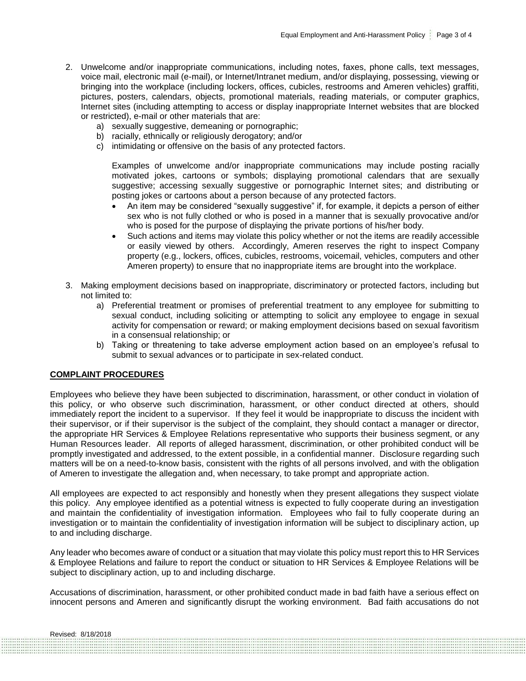- 2. Unwelcome and/or inappropriate communications, including notes, faxes, phone calls, text messages, voice mail, electronic mail (e-mail), or Internet/Intranet medium, and/or displaying, possessing, viewing or bringing into the workplace (including lockers, offices, cubicles, restrooms and Ameren vehicles) graffiti, pictures, posters, calendars, objects, promotional materials, reading materials, or computer graphics, Internet sites (including attempting to access or display inappropriate Internet websites that are blocked or restricted), e-mail or other materials that are:
	- a) sexually suggestive, demeaning or pornographic;
	- b) racially, ethnically or religiously derogatory; and/or
	- c) intimidating or offensive on the basis of any protected factors.

Examples of unwelcome and/or inappropriate communications may include posting racially motivated jokes, cartoons or symbols; displaying promotional calendars that are sexually suggestive; accessing sexually suggestive or pornographic Internet sites; and distributing or posting jokes or cartoons about a person because of any protected factors.

- An item may be considered "sexually suggestive" if, for example, it depicts a person of either sex who is not fully clothed or who is posed in a manner that is sexually provocative and/or who is posed for the purpose of displaying the private portions of his/her body.
- Such actions and items may violate this policy whether or not the items are readily accessible or easily viewed by others. Accordingly, Ameren reserves the right to inspect Company property (e.g., lockers, offices, cubicles, restrooms, voicemail, vehicles, computers and other Ameren property) to ensure that no inappropriate items are brought into the workplace.
- 3. Making employment decisions based on inappropriate, discriminatory or protected factors, including but not limited to:
	- a) Preferential treatment or promises of preferential treatment to any employee for submitting to sexual conduct, including soliciting or attempting to solicit any employee to engage in sexual activity for compensation or reward; or making employment decisions based on sexual favoritism in a consensual relationship; or
	- b) Taking or threatening to take adverse employment action based on an employee's refusal to submit to sexual advances or to participate in sex-related conduct.

#### **COMPLAINT PROCEDURES**

Employees who believe they have been subjected to discrimination, harassment, or other conduct in violation of this policy, or who observe such discrimination, harassment, or other conduct directed at others, should immediately report the incident to a supervisor. If they feel it would be inappropriate to discuss the incident with their supervisor, or if their supervisor is the subject of the complaint, they should contact a manager or director, the appropriate HR Services & Employee Relations representative who supports their business segment, or any Human Resources leader. All reports of alleged harassment, discrimination, or other prohibited conduct will be promptly investigated and addressed, to the extent possible, in a confidential manner. Disclosure regarding such matters will be on a need-to-know basis, consistent with the rights of all persons involved, and with the obligation of Ameren to investigate the allegation and, when necessary, to take prompt and appropriate action.

All employees are expected to act responsibly and honestly when they present allegations they suspect violate this policy. Any employee identified as a potential witness is expected to fully cooperate during an investigation and maintain the confidentiality of investigation information. Employees who fail to fully cooperate during an investigation or to maintain the confidentiality of investigation information will be subject to disciplinary action, up to and including discharge.

Any leader who becomes aware of conduct or a situation that may violate this policy must report this to HR Services & Employee Relations and failure to report the conduct or situation to HR Services & Employee Relations will be subject to disciplinary action, up to and including discharge.

Accusations of discrimination, harassment, or other prohibited conduct made in bad faith have a serious effect on innocent persons and Ameren and significantly disrupt the working environment. Bad faith accusations do not